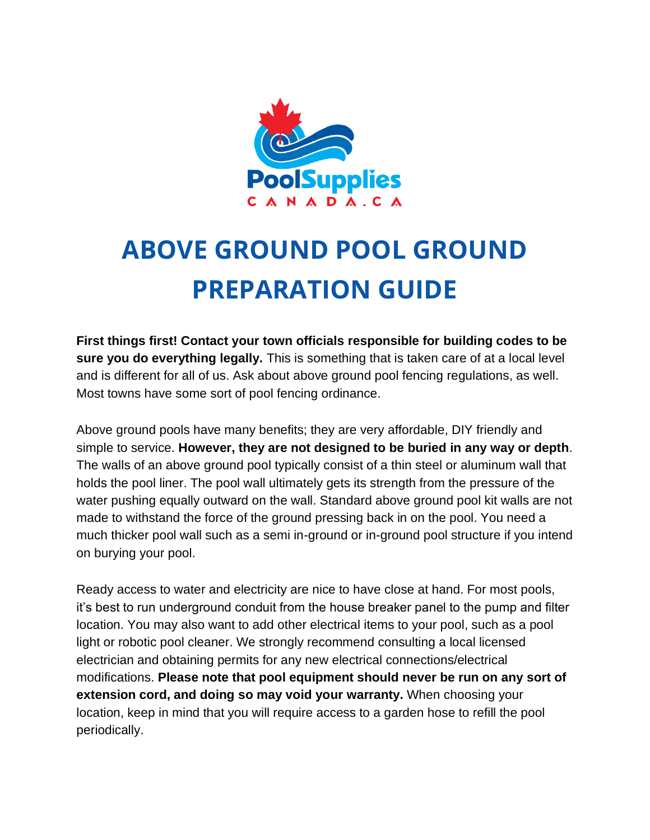

## **ABOVE GROUND POOL GROUND PREPARATION GUIDE**

**First things first! Contact your town officials responsible for building codes to be sure you do everything legally.** This is something that is taken care of at a local level and is different for all of us. Ask about [above ground pool fencing](https://intheswim.com/c/ig-fence-kits/) regulations, as well. Most towns have some sort of pool fencing ordinance.

Above ground pools have many benefits; they are very affordable, DIY friendly and simple to service. **However, they are not designed to be buried in any way or depth**. The walls of an above ground pool typically consist of a thin steel or aluminum wall that holds the pool liner. The pool wall ultimately gets its strength from the pressure of the water pushing equally outward on the wall. Standard above ground pool kit walls are not made to withstand the force of the ground pressing back in on the pool. You need a much thicker pool wall such as a semi in-ground or in-ground pool structure if you intend on burying your pool.

Ready access to water and electricity are nice to have close at hand. For most pools, it's best to run underground conduit from the house breaker panel to the pump and filter location. You may also want to add other electrical items to your pool, such as a pool light or robotic pool cleaner. We strongly recommend consulting a local licensed electrician and obtaining permits for any new electrical connections/electrical modifications. **Please note that pool equipment should never be run on any sort of extension cord, and doing so may void your warranty.** When choosing your location, keep in mind that you will require access to a garden hose to refill the pool periodically.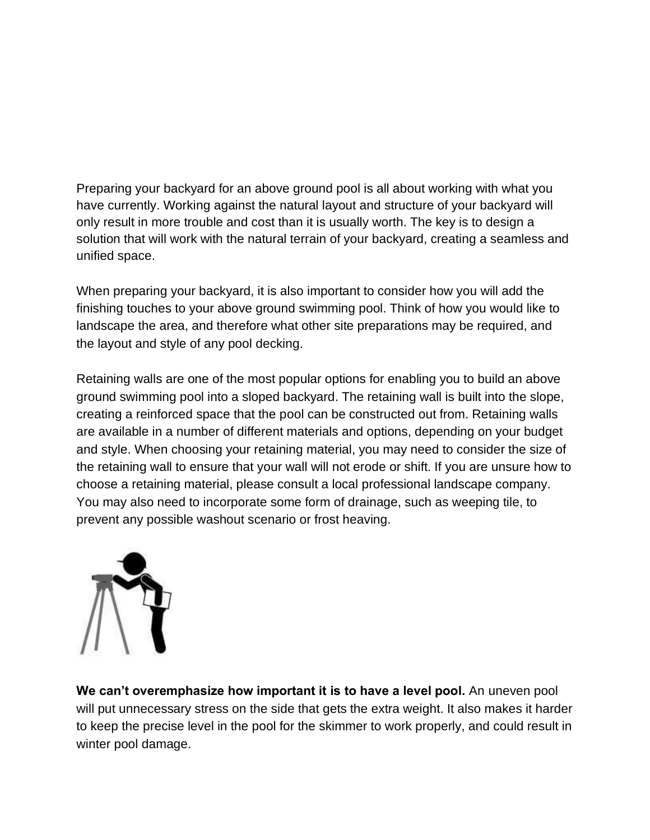Preparing your backyard for an above ground pool is all about working with what you have currently. Working against the natural layout and structure of your backyard will only result in more trouble and cost than it is usually worth. The key is to design a solution that will work with the natural terrain of your backyard, creating a seamless and unified space.

When preparing your backyard, it is also important to consider how you will add the finishing touches to your above ground swimming pool. Think of how you would like to landscape the area, and therefore what other site preparations may be required, and the layout and style of any pool decking.

Retaining walls are one of the most popular options for enabling you to build an above ground swimming pool into a sloped backyard. The retaining wall is built into the slope, creating a reinforced space that the pool can be constructed out from. Retaining walls are available in a number of different materials and options, depending on your budget and style. When choosing your retaining material, you may need to consider the size of the retaining wall to ensure that your wall will not erode or shift. If you are unsure how to choose a retaining material, please consult a local professional landscape company. You may also need to incorporate some form of drainage, such as weeping tile, to prevent any possible washout scenario or frost heaving.



**We can't overemphasize how important it is to have a level pool.** An uneven pool will put unnecessary stress on the side that gets the extra weight. It also makes it harder to keep the precise level in the pool for the skimmer to work properly, and could result in winter pool damage.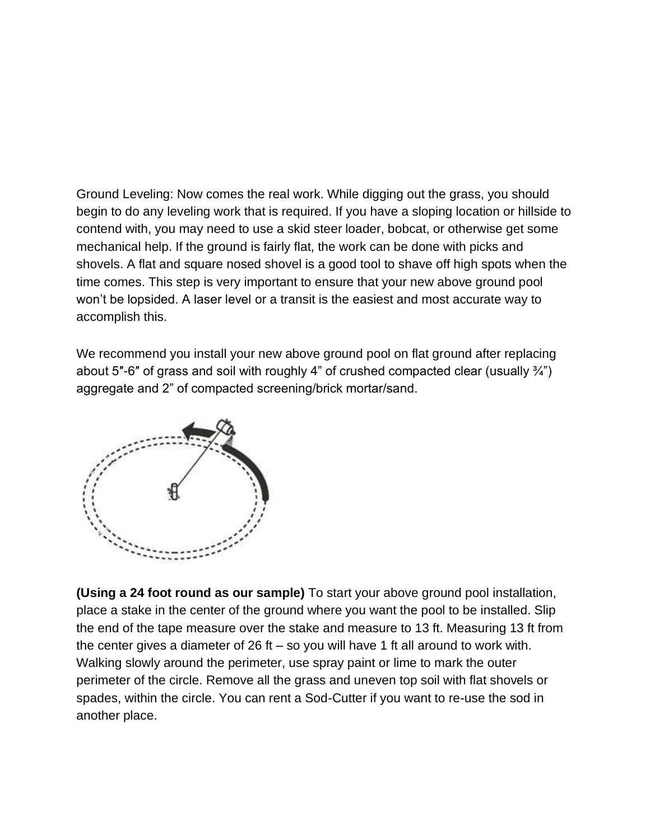Ground Leveling: Now comes the real work. While digging out the grass, you should begin to do any leveling work that is required. If you have a sloping location or hillside to contend with, you may need to use a skid steer loader, bobcat, or otherwise get some mechanical help. If the ground is fairly flat, the work can be done with picks and shovels. A flat and square nosed shovel is a good tool to shave off high spots when the time comes. This step is very important to ensure that your new above ground pool won't be lopsided. A laser level or a transit is the easiest and most accurate way to accomplish this.

We recommend you install your new above ground pool on flat ground after replacing about 5"-6" of grass and soil with roughly 4" of crushed compacted clear (usually  $\frac{3}{4}$ ") aggregate and 2" of compacted screening/brick mortar/sand.



**(Using a 24 foot round as our sample)** To start your above ground pool installation, place a stake in the center of the ground where you want the pool to be installed. Slip the end of the tape measure over the stake and measure to 13 ft. Measuring 13 ft from the center gives a diameter of 26 ft – so you will have 1 ft all around to work with. Walking slowly around the perimeter, use spray paint or lime to mark the outer perimeter of the circle. Remove all the grass and uneven top soil with flat shovels or spades, within the circle. You can rent a Sod-Cutter if you want to re-use the sod in another place.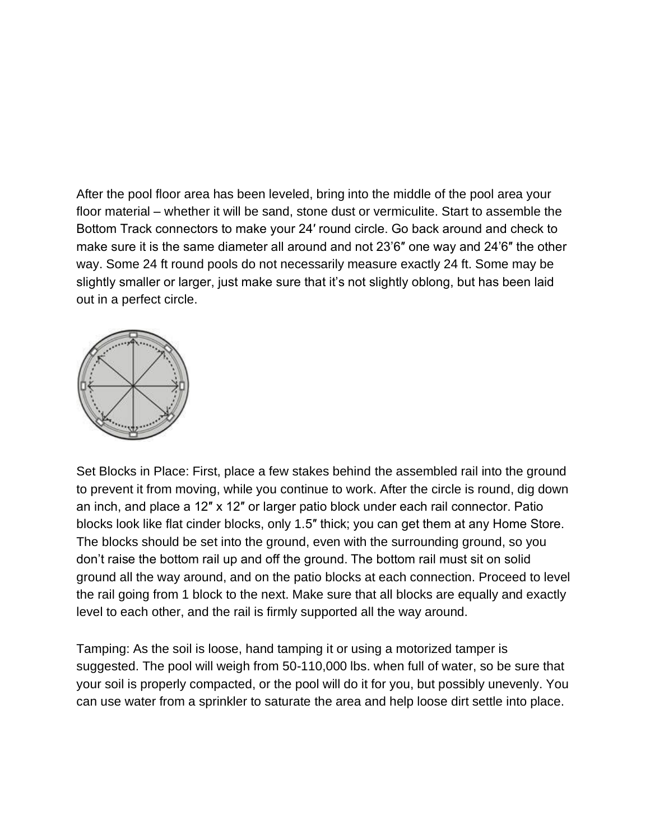After the pool floor area has been leveled, bring into the middle of the pool area your floor material – whether it will be sand, stone dust or vermiculite. Start to assemble the Bottom Track connectors to make your 24′ round circle. Go back around and check to make sure it is the same diameter all around and not 23'6″ one way and 24'6″ the other way. Some 24 ft round pools do not necessarily measure exactly 24 ft. Some may be slightly smaller or larger, just make sure that it's not slightly oblong, but has been laid out in a perfect circle.



Set Blocks in Place: First, place a few stakes behind the assembled rail into the ground to prevent it from moving, while you continue to work. After the circle is round, dig down an inch, and place a 12″ x 12″ or larger patio block under each rail connector. Patio blocks look like flat cinder blocks, only 1.5″ thick; you can get them at any Home Store. The blocks should be set into the ground, even with the surrounding ground, so you don't raise the bottom rail up and off the ground. The bottom rail must sit on solid ground all the way around, and on the patio blocks at each connection. Proceed to level the rail going from 1 block to the next. Make sure that all blocks are equally and exactly level to each other, and the rail is firmly supported all the way around.

Tamping: As the soil is loose, hand tamping it or using a motorized tamper is suggested. The pool will weigh from 50-110,000 lbs. when full of water, so be sure that your soil is properly compacted, or the pool will do it for you, but possibly unevenly. You can use water from a sprinkler to saturate the area and help loose dirt settle into place.